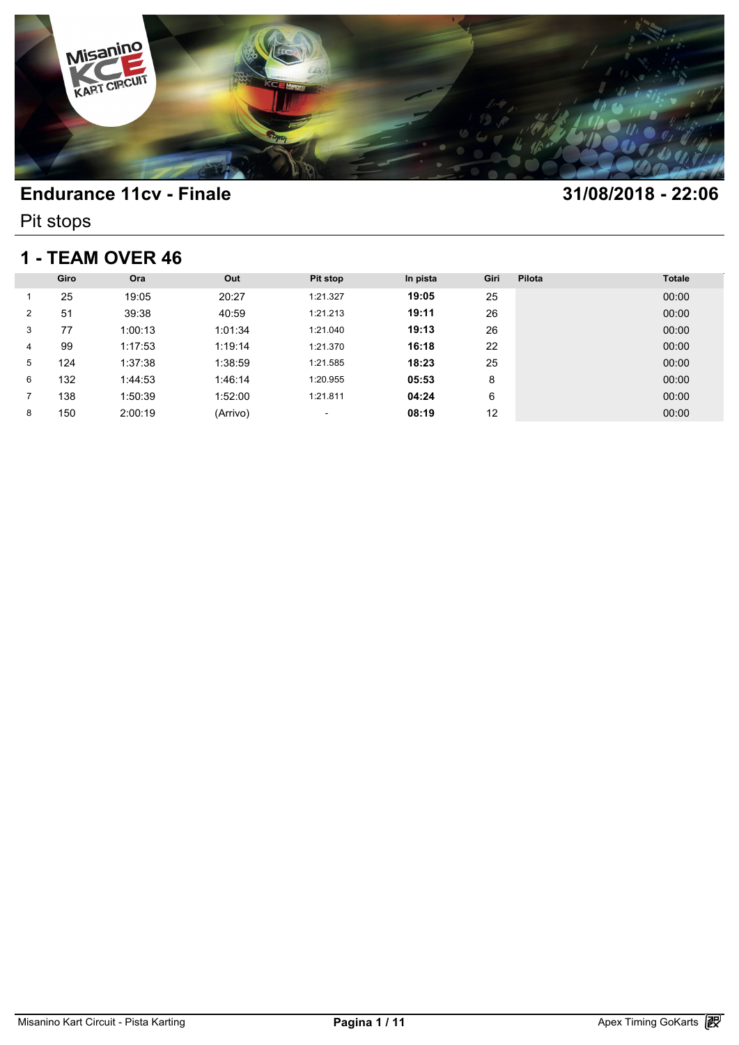

Pit stops

### **1 - TEAM OVER 46**

| 1 - TEAM OVER 46 |      |         |          |          |          |      |        |               |  |  |
|------------------|------|---------|----------|----------|----------|------|--------|---------------|--|--|
|                  | Giro | Ora     | Out      | Pit stop | In pista | Giri | Pilota | <b>Totale</b> |  |  |
|                  | 25   | 19:05   | 20:27    | 1:21.327 | 19:05    | 25   |        | 00:00         |  |  |
| $\overline{2}$   | 51   | 39:38   | 40:59    | 1:21.213 | 19:11    | 26   |        | 00:00         |  |  |
| 3                | 77   | 1:00:13 | 1:01:34  | 1:21.040 | 19:13    | 26   |        | 00:00         |  |  |
| 4                | 99   | 1:17:53 | 1:19:14  | 1:21.370 | 16:18    | 22   |        | 00:00         |  |  |
| 5                | 124  | 1:37:38 | 1:38:59  | 1:21.585 | 18:23    | 25   |        | 00:00         |  |  |
| 6                | 132  | 1:44:53 | 1:46:14  | 1:20.955 | 05:53    | 8    |        | 00:00         |  |  |
|                  | 138  | 1:50:39 | 1:52:00  | 1:21.811 | 04:24    | 6    |        | 00:00         |  |  |
| 8                | 150  | 2:00:19 | (Arrivo) | ٠        | 08:19    | 12   |        | 00:00         |  |  |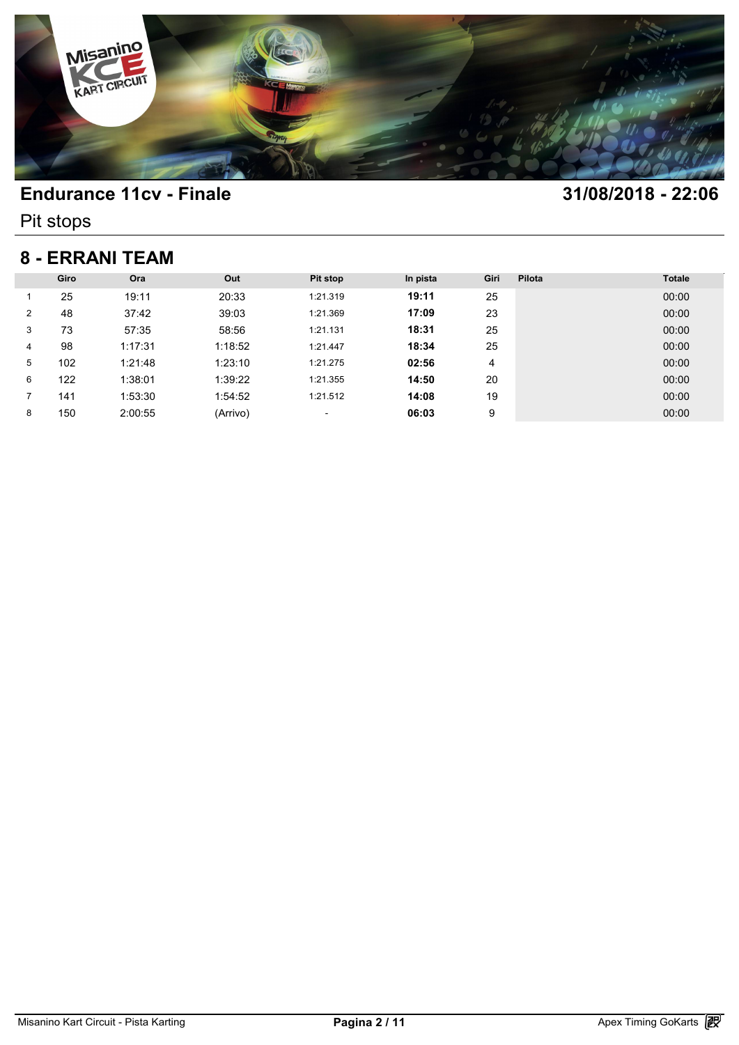

Pit stops

### **8 - ERRANI TEAM**

| 8 - ERRANI TEAM |      |         |          |          |          |      |        |               |  |  |
|-----------------|------|---------|----------|----------|----------|------|--------|---------------|--|--|
|                 | Giro | Ora     | Out      | Pit stop | In pista | Giri | Pilota | <b>Totale</b> |  |  |
|                 | 25   | 19:11   | 20:33    | 1:21.319 | 19:11    | 25   |        | 00:00         |  |  |
| $\overline{2}$  | 48   | 37:42   | 39:03    | 1:21.369 | 17:09    | 23   |        | 00:00         |  |  |
| 3               | 73   | 57:35   | 58:56    | 1:21.131 | 18:31    | 25   |        | 00:00         |  |  |
| 4               | 98   | 1:17:31 | 1:18:52  | 1:21.447 | 18:34    | 25   |        | 00:00         |  |  |
| 5               | 102  | 1:21:48 | 1:23:10  | 1:21.275 | 02:56    | 4    |        | 00:00         |  |  |
| 6               | 122  | 1:38:01 | 1:39:22  | 1:21.355 | 14:50    | 20   |        | 00:00         |  |  |
|                 | 141  | 1:53:30 | 1:54:52  | 1:21.512 | 14:08    | 19   |        | 00:00         |  |  |
| 8               | 150  | 2:00:55 | (Arrivo) | ٠        | 06:03    | 9    |        | 00:00         |  |  |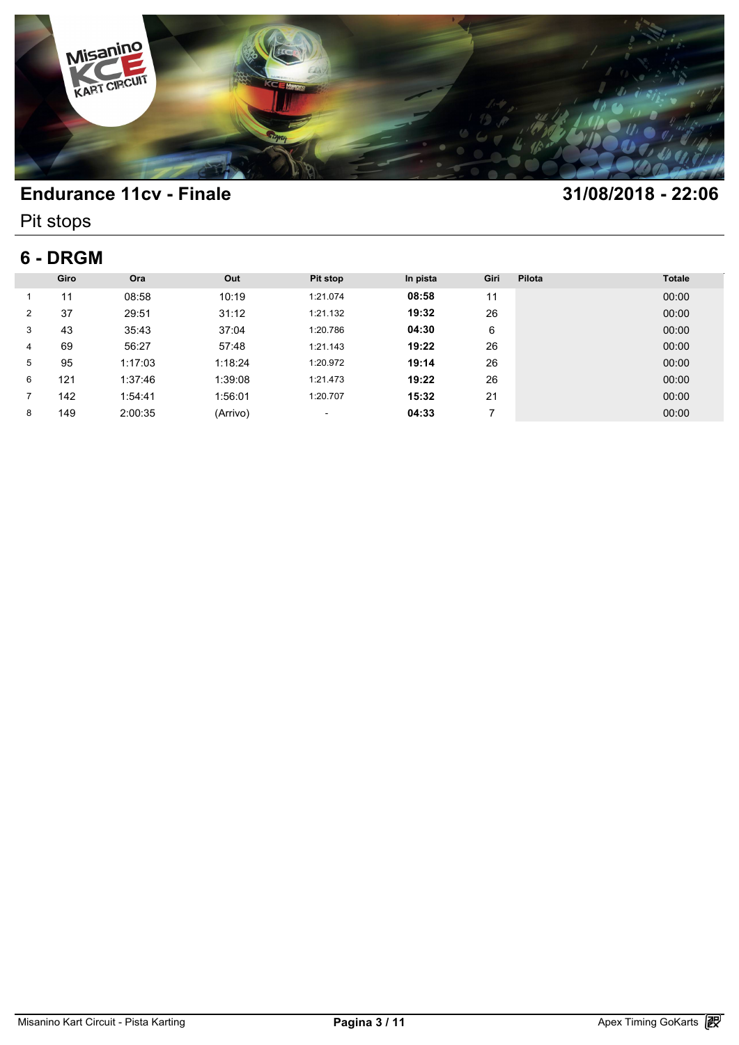

Pit stops

# **6 - DRGM**

| 6 - DRGM       |      |         |          |          |          |      |        |               |  |  |
|----------------|------|---------|----------|----------|----------|------|--------|---------------|--|--|
|                | Giro | Ora     | Out      | Pit stop | In pista | Giri | Pilota | <b>Totale</b> |  |  |
|                | 11   | 08:58   | 10:19    | 1:21.074 | 08:58    | 11   |        | 00:00         |  |  |
| $\overline{2}$ | 37   | 29:51   | 31:12    | 1:21.132 | 19:32    | 26   |        | 00:00         |  |  |
| 3              | 43   | 35:43   | 37:04    | 1:20.786 | 04:30    | 6    |        | 00:00         |  |  |
| 4              | 69   | 56:27   | 57:48    | 1:21.143 | 19:22    | 26   |        | 00:00         |  |  |
| 5              | 95   | 1:17:03 | 1:18:24  | 1:20.972 | 19:14    | 26   |        | 00:00         |  |  |
| 6              | 121  | 1:37:46 | 1:39:08  | 1:21.473 | 19:22    | 26   |        | 00:00         |  |  |
|                | 142  | 1:54:41 | 1:56:01  | 1:20.707 | 15:32    | 21   |        | 00:00         |  |  |
| 8              | 149  | 2:00:35 | (Arrivo) | ٠        | 04:33    |      |        | 00:00         |  |  |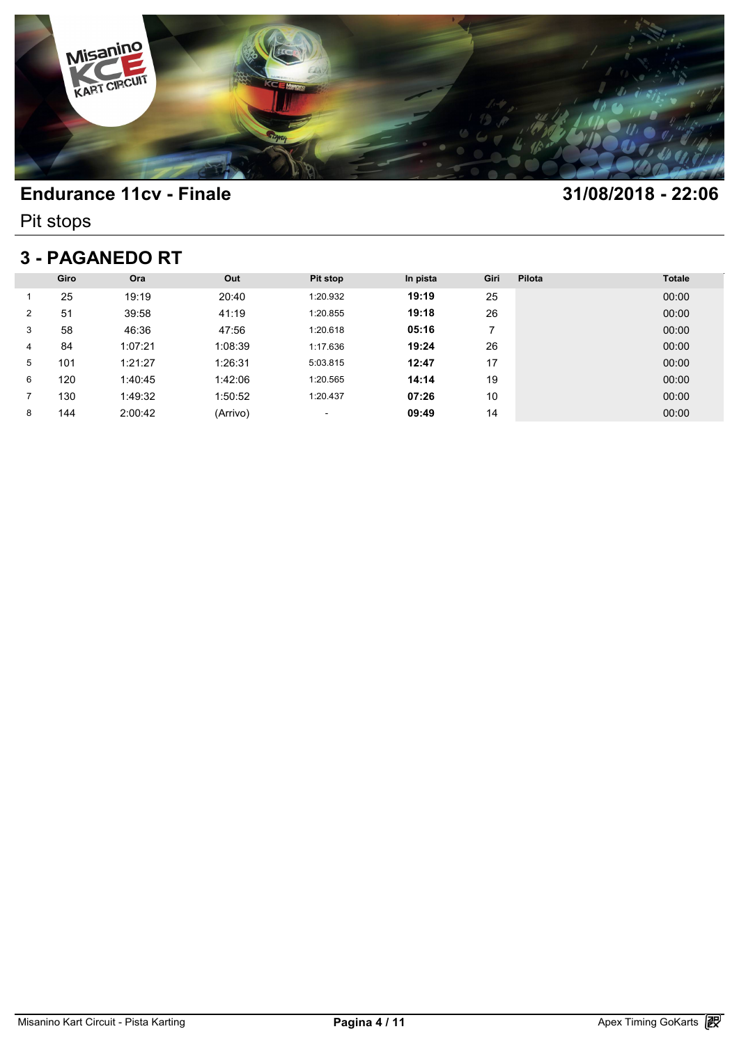

Pit stops

## **3 - PAGANEDO RT**

| <b>3 - PAGANEDO RT</b> |      |         |          |          |          |      |        |               |  |  |
|------------------------|------|---------|----------|----------|----------|------|--------|---------------|--|--|
|                        | Giro | Ora     | Out      | Pit stop | In pista | Giri | Pilota | <b>Totale</b> |  |  |
|                        | 25   | 19:19   | 20:40    | 1:20.932 | 19:19    | 25   |        | 00:00         |  |  |
| $\overline{2}$         | 51   | 39:58   | 41:19    | 1:20.855 | 19:18    | 26   |        | 00:00         |  |  |
| 3                      | 58   | 46:36   | 47:56    | 1:20.618 | 05:16    | 7    |        | 00:00         |  |  |
| 4                      | 84   | 1:07:21 | 1:08:39  | 1:17.636 | 19:24    | 26   |        | 00:00         |  |  |
| 5                      | 101  | 1:21:27 | 1:26:31  | 5:03.815 | 12:47    | 17   |        | 00:00         |  |  |
| 6                      | 120  | 1:40:45 | 1:42:06  | 1:20.565 | 14:14    | 19   |        | 00:00         |  |  |
|                        | 130  | 1:49:32 | 1:50:52  | 1:20.437 | 07:26    | 10   |        | 00:00         |  |  |
| 8                      | 144  | 2:00:42 | (Arrivo) | ٠        | 09:49    | 14   |        | 00:00         |  |  |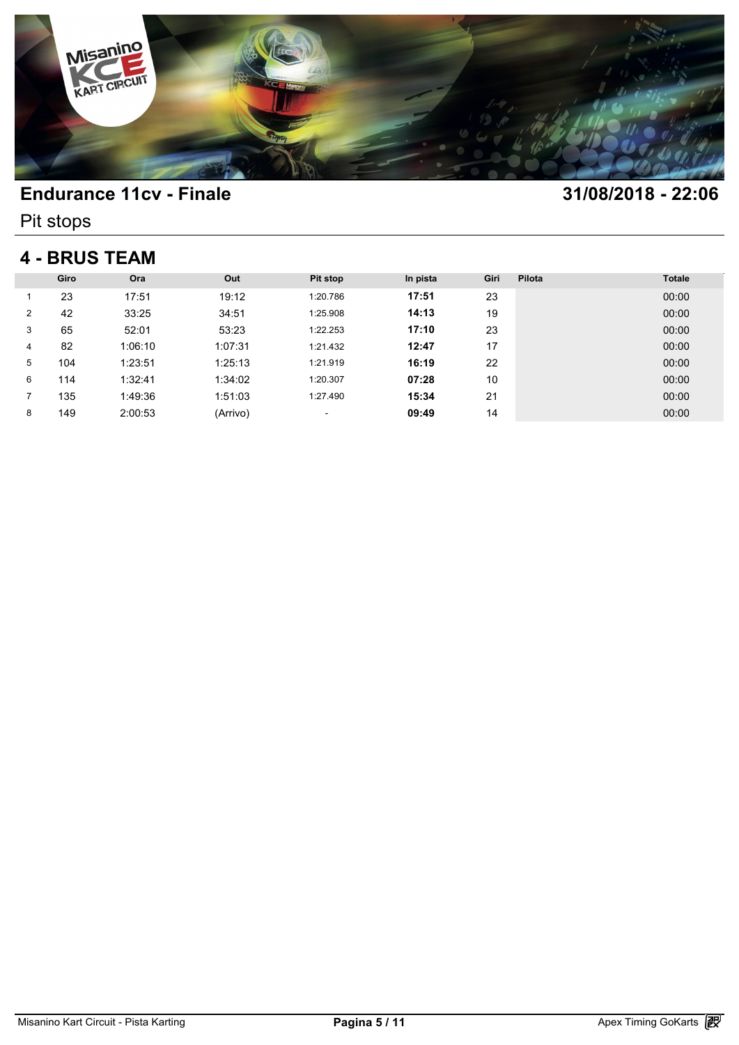

Pit stops

### **4 - BRUS TEAM**

| <b>4 - BRUS TEAM</b> |      |         |          |          |          |      |        |               |  |  |
|----------------------|------|---------|----------|----------|----------|------|--------|---------------|--|--|
|                      | Giro | Ora     | Out      | Pit stop | In pista | Giri | Pilota | <b>Totale</b> |  |  |
|                      | 23   | 17:51   | 19:12    | 1:20.786 | 17:51    | 23   |        | 00:00         |  |  |
| $\overline{2}$       | 42   | 33:25   | 34:51    | 1:25.908 | 14:13    | 19   |        | 00:00         |  |  |
| 3                    | 65   | 52:01   | 53:23    | 1:22.253 | 17:10    | 23   |        | 00:00         |  |  |
| 4                    | 82   | 1:06:10 | 1:07:31  | 1:21.432 | 12:47    | 17   |        | 00:00         |  |  |
| 5                    | 104  | 1:23:51 | 1:25:13  | 1:21.919 | 16:19    | 22   |        | 00:00         |  |  |
| 6                    | 114  | 1:32:41 | 1:34:02  | 1:20.307 | 07:28    | 10   |        | 00:00         |  |  |
|                      | 135  | 1:49:36 | 1:51:03  | 1:27.490 | 15:34    | 21   |        | 00:00         |  |  |
| 8                    | 149  | 2:00:53 | (Arrivo) | ٠        | 09:49    | 14   |        | 00:00         |  |  |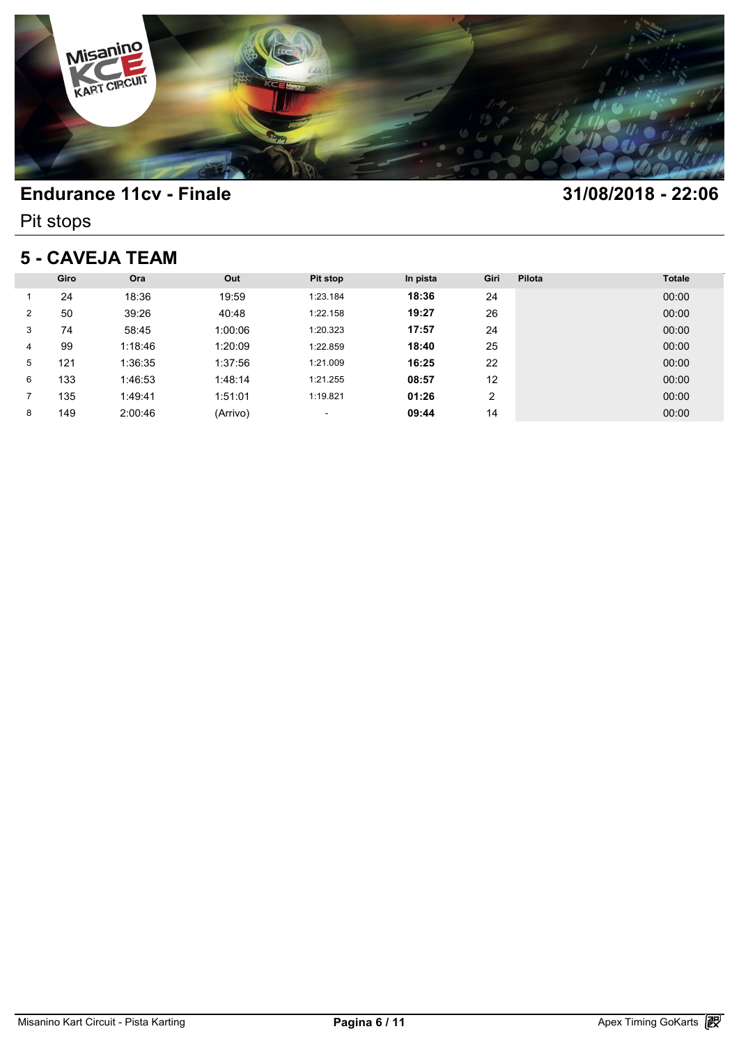

Pit stops

### **5 - CAVEJA TEAM**

| <b>5 - CAVEJA TEAM</b> |      |         |          |          |          |      |        |               |  |  |
|------------------------|------|---------|----------|----------|----------|------|--------|---------------|--|--|
|                        | Giro | Ora     | Out      | Pit stop | In pista | Giri | Pilota | <b>Totale</b> |  |  |
|                        | 24   | 18:36   | 19:59    | 1:23.184 | 18:36    | 24   |        | 00:00         |  |  |
| 2                      | 50   | 39:26   | 40:48    | 1:22.158 | 19:27    | 26   |        | 00:00         |  |  |
| 3                      | 74   | 58:45   | 1:00:06  | 1:20.323 | 17:57    | 24   |        | 00:00         |  |  |
| 4                      | 99   | 1:18:46 | 1:20:09  | 1:22.859 | 18:40    | 25   |        | 00:00         |  |  |
| 5                      | 121  | 1:36:35 | 1:37:56  | 1:21.009 | 16:25    | 22   |        | 00:00         |  |  |
| 6                      | 133  | 1:46:53 | 1:48:14  | 1:21.255 | 08:57    | 12   |        | 00:00         |  |  |
|                        | 135  | 1:49:41 | 1:51:01  | 1:19.821 | 01:26    | 2    |        | 00:00         |  |  |
| 8                      | 149  | 2:00:46 | (Arrivo) | ٠        | 09:44    | 14   |        | 00:00         |  |  |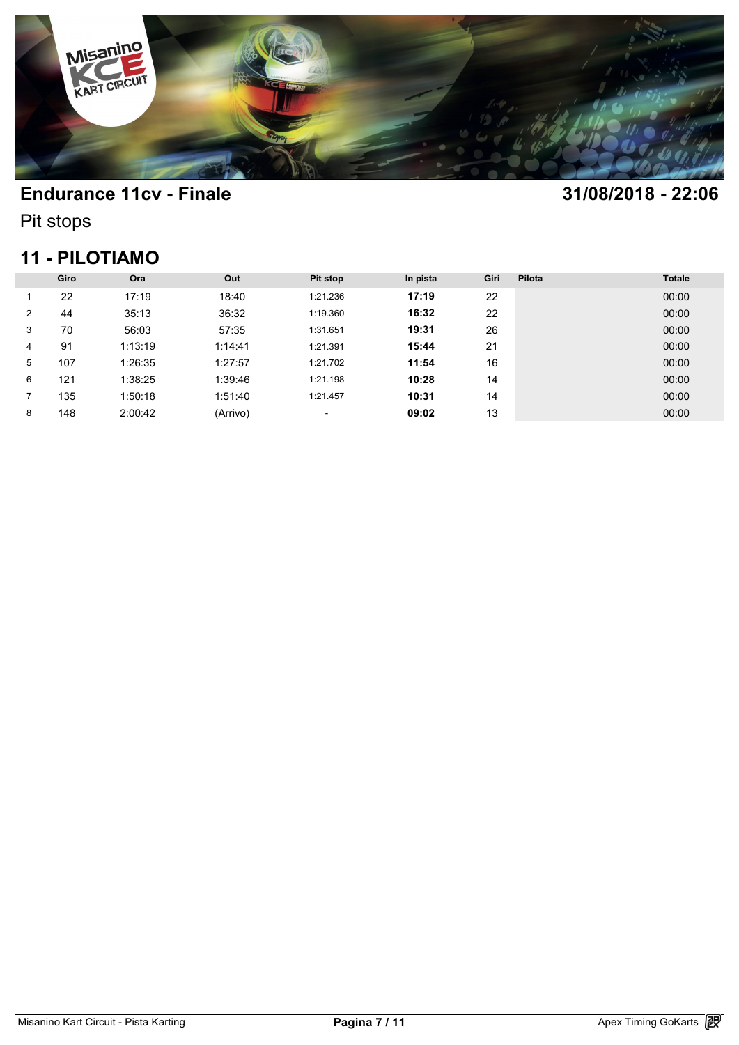

Pit stops

### **11 - PILOTIAMO**

| <b>11 - PILOTIAMO</b> |      |         |          |          |          |      |        |               |  |  |
|-----------------------|------|---------|----------|----------|----------|------|--------|---------------|--|--|
|                       | Giro | Ora     | Out      | Pit stop | In pista | Giri | Pilota | <b>Totale</b> |  |  |
|                       | 22   | 17:19   | 18:40    | 1:21.236 | 17:19    | 22   |        | 00:00         |  |  |
| $\overline{2}$        | 44   | 35:13   | 36:32    | 1:19.360 | 16:32    | 22   |        | 00:00         |  |  |
| 3                     | 70   | 56:03   | 57:35    | 1:31.651 | 19:31    | 26   |        | 00:00         |  |  |
| 4                     | 91   | 1:13:19 | 1:14:41  | 1:21.391 | 15:44    | 21   |        | 00:00         |  |  |
| 5                     | 107  | 1:26:35 | 1:27:57  | 1:21.702 | 11:54    | 16   |        | 00:00         |  |  |
| 6                     | 121  | 1:38:25 | 1:39:46  | 1:21.198 | 10:28    | 14   |        | 00:00         |  |  |
|                       | 135  | 1:50:18 | 1:51:40  | 1:21.457 | 10:31    | 14   |        | 00:00         |  |  |
| 8                     | 148  | 2:00:42 | (Arrivo) | ٠        | 09:02    | 13   |        | 00:00         |  |  |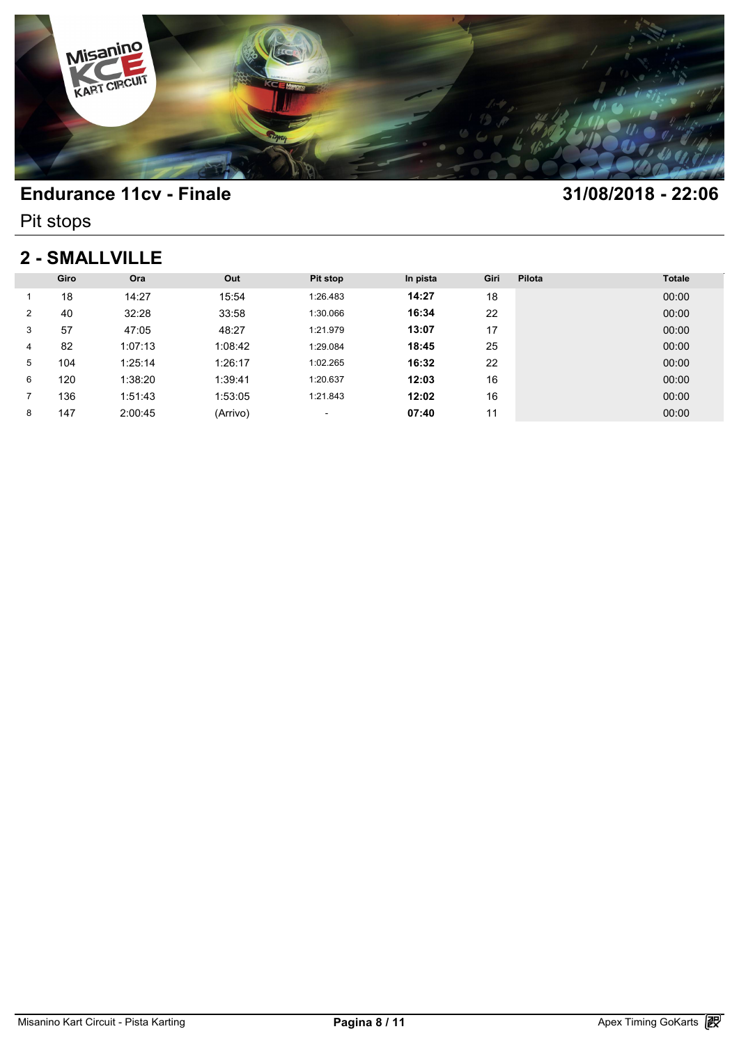

Pit stops

### **2 - SMALLVILLE**

| 2 - SMALLVILLE |      |         |          |          |          |      |        |               |  |  |
|----------------|------|---------|----------|----------|----------|------|--------|---------------|--|--|
|                | Giro | Ora     | Out      | Pit stop | In pista | Giri | Pilota | <b>Totale</b> |  |  |
|                | 18   | 14:27   | 15:54    | 1:26.483 | 14:27    | 18   |        | 00:00         |  |  |
| $\overline{2}$ | 40   | 32:28   | 33:58    | 1:30.066 | 16:34    | 22   |        | 00:00         |  |  |
| 3              | 57   | 47:05   | 48:27    | 1:21.979 | 13:07    | 17   |        | 00:00         |  |  |
| 4              | 82   | 1:07:13 | 1:08:42  | 1:29.084 | 18:45    | 25   |        | 00:00         |  |  |
| 5              | 104  | 1:25:14 | 1:26:17  | 1:02.265 | 16:32    | 22   |        | 00:00         |  |  |
| 6              | 120  | 1:38:20 | 1:39:41  | 1:20.637 | 12:03    | 16   |        | 00:00         |  |  |
|                | 136  | 1:51:43 | 1:53:05  | 1:21.843 | 12:02    | 16   |        | 00:00         |  |  |
| 8              | 147  | 2:00:45 | (Arrivo) | ٠        | 07:40    | 11   |        | 00:00         |  |  |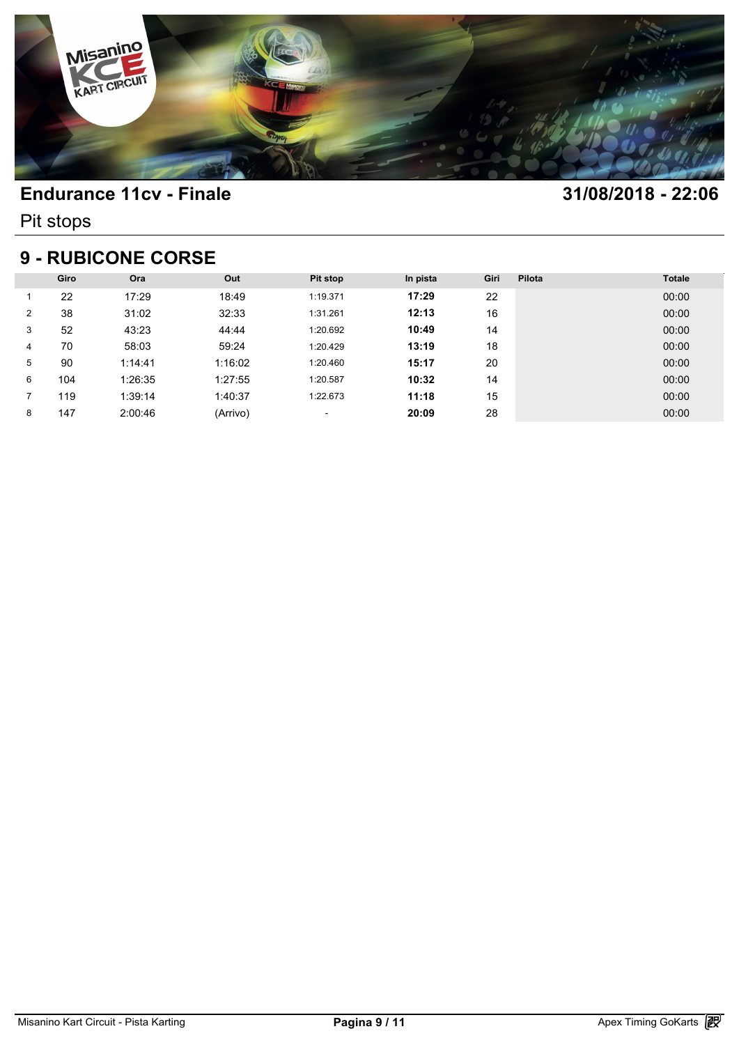

Pit stops

### **9 - RUBICONE CORSE**

| <b>9 - RUBICONE CORSE</b> |      |         |          |          |          |      |        |               |  |  |
|---------------------------|------|---------|----------|----------|----------|------|--------|---------------|--|--|
|                           | Giro | Ora     | Out      | Pit stop | In pista | Giri | Pilota | <b>Totale</b> |  |  |
|                           | 22   | 17:29   | 18:49    | 1:19.371 | 17:29    | 22   |        | 00:00         |  |  |
| $\overline{2}$            | 38   | 31:02   | 32:33    | 1:31.261 | 12:13    | 16   |        | 00:00         |  |  |
| 3                         | 52   | 43:23   | 44:44    | 1:20.692 | 10:49    | 14   |        | 00:00         |  |  |
| 4                         | 70   | 58:03   | 59:24    | 1:20.429 | 13:19    | 18   |        | 00:00         |  |  |
| 5                         | 90   | 1:14:41 | 1:16:02  | 1:20.460 | 15:17    | 20   |        | 00:00         |  |  |
| 6                         | 104  | 1:26:35 | 1:27:55  | 1:20.587 | 10:32    | 14   |        | 00:00         |  |  |
|                           | 119  | 1:39:14 | 1:40:37  | 1:22.673 | 11:18    | 15   |        | 00:00         |  |  |
| 8                         | 147  | 2:00:46 | (Arrivo) | ٠        | 20:09    | 28   |        | 00:00         |  |  |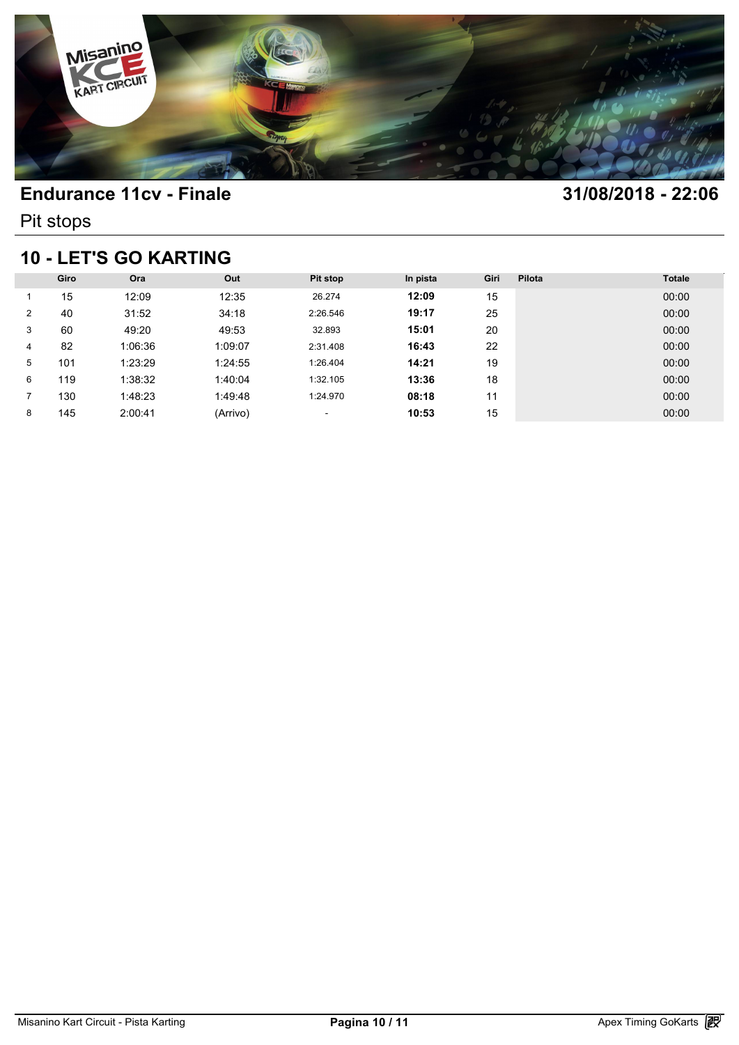

Pit stops

## **10 - LET'S GO KARTING**

| 10 - LET'S GO KARTING |      |         |          |                          |          |      |        |               |  |  |
|-----------------------|------|---------|----------|--------------------------|----------|------|--------|---------------|--|--|
|                       | Giro | Ora     | Out      | <b>Pit stop</b>          | In pista | Giri | Pilota | <b>Totale</b> |  |  |
|                       | 15   | 12:09   | 12:35    | 26.274                   | 12:09    | 15   |        | 00:00         |  |  |
| 2                     | 40   | 31:52   | 34:18    | 2:26.546                 | 19:17    | 25   |        | 00:00         |  |  |
| 3                     | 60   | 49:20   | 49:53    | 32.893                   | 15:01    | 20   |        | 00:00         |  |  |
| 4                     | 82   | 1:06:36 | 1:09:07  | 2:31.408                 | 16:43    | 22   |        | 00:00         |  |  |
| 5                     | 101  | 1:23:29 | 1:24:55  | 1:26.404                 | 14:21    | 19   |        | 00:00         |  |  |
| 6                     | 119  | 1:38:32 | 1:40:04  | 1:32.105                 | 13:36    | 18   |        | 00:00         |  |  |
|                       | 130  | 1:48:23 | 1:49:48  | 1:24.970                 | 08:18    | 11   |        | 00:00         |  |  |
| 8                     | 145  | 2:00:41 | (Arrivo) | $\overline{\phantom{a}}$ | 10:53    | 15   |        | 00:00         |  |  |